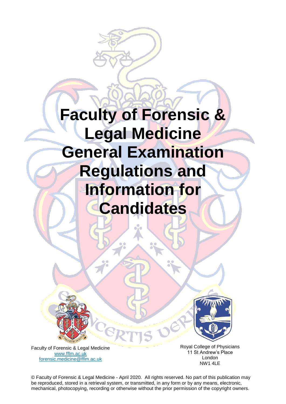



Faculty of Forensic & Legal Medicine [www.fflm.ac.uk](http://www.fflm.ac.uk/)  forensic.medicine@fflm.ac.uk

Royal College of Physicians 11 St Andrew's Place London NW1 4LE

© Faculty of Forensic & Legal Medicine - April 2020. All rights reserved. No part of this publication may be reproduced, stored in a retrieval system, or transmitted, in any form or by any means, electronic, mechanical, photocopying, recording or otherwise without the prior permission of the copyright owners.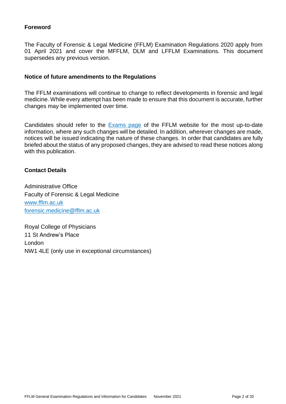## **Foreword**

The Faculty of Forensic & Legal Medicine (FFLM) Examination Regulations 2020 apply from 01 April 2021 and cover the MFFLM, DLM and LFFLM Examinations. This document supersedes any previous version.

#### **Notice of future amendments to the Regulations**

The FFLM examinations will continue to change to reflect developments in forensic and legal medicine. While every attempt has been made to ensure that this document is accurate, further changes may be implemented over time.

Candidates should refer to the [Exams page](http://www.fflm.ac.uk/exams) of the FFLM website for the most up-to-date information, where any such changes will be detailed. In addition, wherever changes are made, notices will be issued indicating the nature of these changes. In order that candidates are fully briefed about the status of any proposed changes, they are advised to read these notices along with this publication.

### **Contact Details**

Administrative Office Faculty of Forensic & Legal Medicine www.fflm.ac.uk [forensic.medicine@fflm.ac.uk](mailto:forensic.medicine@fflm.ac.uk)

Royal College of Physicians 11 St Andrew's Place London NW1 4LE (only use in exceptional circumstances)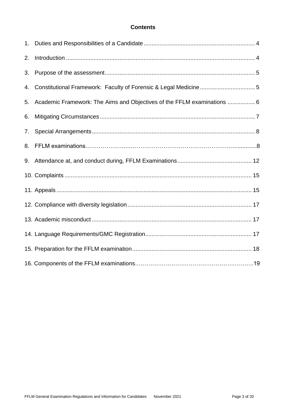## **Contents**

| 1. |                                                                         |
|----|-------------------------------------------------------------------------|
| 2. |                                                                         |
| 3. |                                                                         |
| 4. |                                                                         |
| 5. | Academic Framework: The Aims and Objectives of the FFLM examinations  6 |
| 6. |                                                                         |
| 7. |                                                                         |
| 8. |                                                                         |
| 9. |                                                                         |
|    |                                                                         |
|    |                                                                         |
|    |                                                                         |
|    |                                                                         |
|    |                                                                         |
|    |                                                                         |
|    |                                                                         |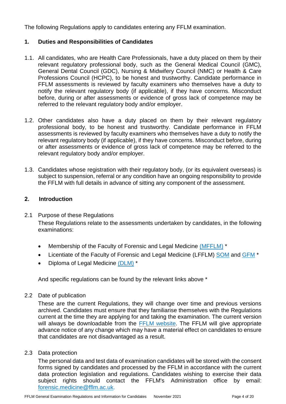The following Regulations apply to candidates entering any FFLM examination.

## **1. Duties and Responsibilities of Candidates**

- 1.1. All candidates, who are Health Care Professionals, have a duty placed on them by their relevant regulatory professional body, such as the General Medical Council (GMC), General Dental Council (GDC), Nursing & Midwifery Council (NMC) or Health & Care Professions Council (HCPC), to be honest and trustworthy. Candidate performance in FFLM assessments is reviewed by faculty examiners who themselves have a duty to notify the relevant regulatory body (if applicable), if they have concerns. Misconduct before, during or after assessments or evidence of gross lack of competence may be referred to the relevant regulatory body and/or employer.
- 1.2. Other candidates also have a duty placed on them by their relevant regulatory professional body, to be honest and trustworthy. Candidate performance in FFLM assessments is reviewed by faculty examiners who themselves have a duty to notify the relevant regulatory body (if applicable), if they have concerns. Misconduct before, during or after assessments or evidence of gross lack of competence may be referred to the relevant regulatory body and/or employer.
- 1.3. Candidates whose registration with their regulatory body, (or its equivalent overseas) is subject to suspension, referral or any condition have an ongoing responsibility to provide the FFLM with full details in advance of sitting any component of the assessment.

#### **2. Introduction**

- 2.1 Purpose of these Regulations These Regulations relate to the assessments undertaken by candidates, in the following examinations:
	- Membership of the Faculty of Forensic and Legal Medicine [\(MFFLM\)](https://fflm.ac.uk/exams/mfflm/) \*
	- Licentiate of the Faculty of Forensic and Legal Medicine (LFFLM) [SOM](https://fflm.ac.uk/exams/lfflmsom/) and [GFM](https://fflm.ac.uk/exams/lfflmgfm/) \*
	- Diploma of Legal Medicine [\(DLM\)](https://fflm.ac.uk/exams/dlm/) \*

And specific regulations can be found by the relevant links above \*

2.2 Date of publication

These are the current Regulations, they will change over time and previous versions archived. Candidates must ensure that they familiarise themselves with the Regulations current at the time they are applying for and taking the examination. The current version will always be downloadable from the [FFLM website.](http://www.fflm.ac.uk/exams) The FFLM will give appropriate advance notice of any change which may have a material effect on candidates to ensure that candidates are not disadvantaged as a result.

2.3 Data protection

The personal data and test data of examination candidates will be stored with the consent forms signed by candidates and processed by the FFLM in accordance with the current data protection legislation and regulations. Candidates wishing to exercise their data subject rights should contact the FFLM's Administration office by email: [forensic.medicine@fflm.ac.uk.](mailto:forensic.medicine@fflm.ac.uk)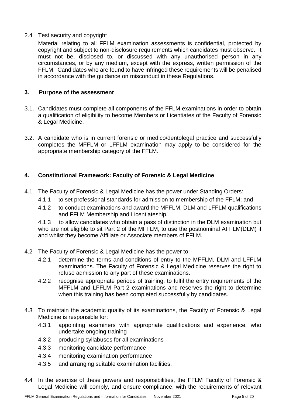# 2.4 Test security and copyright

Material relating to all FFLM examination assessments is confidential, protected by copyright and subject to non-disclosure requirements which candidates must observe. It must not be, disclosed to, or discussed with any unauthorised person in any circumstances, or by any medium, except with the express, written permission of the FFLM. Candidates who are found to have infringed these requirements will be penalised in accordance with the guidance on misconduct in these Regulations.

## **3. Purpose of the assessment**

- 3.1. Candidates must complete all components of the FFLM examinations in order to obtain a qualification of eligibility to become Members or Licentiates of the Faculty of Forensic & Legal Medicine.
- 3.2. A candidate who is in current forensic or medico/dentolegal practice and successfully completes the MFFLM or LFFLM examination may apply to be considered for the appropriate membership category of the FFLM.

# **4. Constitutional Framework: Faculty of Forensic & Legal Medicine**

- 4.1 The Faculty of Forensic & Legal Medicine has the power under Standing Orders:
	- 4.1.1 to set professional standards for admission to membership of the FFLM; and
	- 4.1.2 to conduct examinations and award the MFFLM, DLM and LFFLM qualifications and FFLM Membership and Licentiateship.

4.1.3 to allow candidates who obtain a pass of distinction in the DLM examination but who are not eligible to sit Part 2 of the MFFLM, to use the postnominal AFFLM(DLM) if and whilst they become Affiliate or Associate members of FFLM.

- 4.2 The Faculty of Forensic & Legal Medicine has the power to:
	- 4.2.1 determine the terms and conditions of entry to the MFFLM, DLM and LFFLM examinations. The Faculty of Forensic & Legal Medicine reserves the right to refuse admission to any part of these examinations.
	- 4.2.2 recognise appropriate periods of training, to fulfil the entry requirements of the MFFLM and LFFLM Part 2 examinations and reserves the right to determine when this training has been completed successfully by candidates.
- 4.3 To maintain the academic quality of its examinations, the Faculty of Forensic & Legal Medicine is responsible for:
	- 4.3.1 appointing examiners with appropriate qualifications and experience, who undertake ongoing training
	- 4.3.2 producing syllabuses for all examinations
	- 4.3.3 monitoring candidate performance
	- 4.3.4 monitoring examination performance
	- 4.3.5 and arranging suitable examination facilities.
- 4.4 In the exercise of these powers and responsibilities, the FFLM Faculty of Forensic & Legal Medicine will comply, and ensure compliance, with the requirements of relevant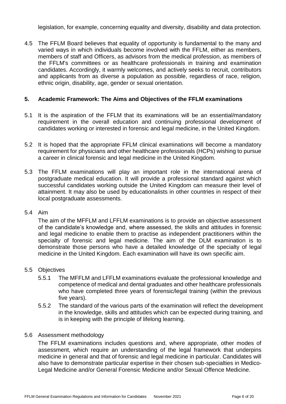legislation, for example, concerning equality and diversity, disability and data protection.

4.5 The FFLM Board believes that equality of opportunity is fundamental to the many and varied ways in which individuals become involved with the FFLM, either as members, members of staff and Officers, as advisors from the medical profession, as members of the FFLM's committees or as healthcare professionals in training and examination candidates. Accordingly, it warmly welcomes, and actively seeks to recruit, contributors and applicants from as diverse a population as possible, regardless of race, religion, ethnic origin, disability, age, gender or sexual orientation.

### **5. Academic Framework: The Aims and Objectives of the FFLM examinations**

- 5.1 It is the aspiration of the FFLM that its examinations will be an essential/mandatory requirement in the overall education and continuing professional development of candidates working or interested in forensic and legal medicine, in the United Kingdom.
- 5.2 It is hoped that the appropriate FFLM clinical examinations will become a mandatory requirement for physicians and other healthcare professionals (HCPs) wishing to pursue a career in clinical forensic and legal medicine in the United Kingdom.
- 5.3 The FFLM examinations will play an important role in the international arena of postgraduate medical education. It will provide a professional standard against which successful candidates working outside the United Kingdom can measure their level of attainment. It may also be used by educationalists in other countries in respect of their local postgraduate assessments.

#### 5.4 Aim

The aim of the MFFLM and LFFLM examinations is to provide an objective assessment of the candidate's knowledge and, where assessed, the skills and attitudes in forensic and legal medicine to enable them to practise as independent practitioners within the specialty of forensic and legal medicine. The aim of the DLM examination is to demonstrate those persons who have a detailed knowledge of the specialty of legal medicine in the United Kingdom. Each examination will have its own specific aim.

### 5.5 Objectives

- 5.5.1 The MFFLM and LFFLM examinations evaluate the professional knowledge and competence of medical and dental graduates and other healthcare professionals who have completed three years of forensic/legal training (within the previous five years).
- 5.5.2 The standard of the various parts of the examination will reflect the development in the knowledge, skills and attitudes which can be expected during training, and is in keeping with the principle of lifelong learning.

#### 5.6 Assessment methodology

The FFLM examinations includes questions and, where appropriate, other modes of assessment, which require an understanding of the legal framework that underpins medicine in general and that of forensic and legal medicine in particular. Candidates will also have to demonstrate particular expertise in their chosen sub-specialties in Medico-Legal Medicine and/or General Forensic Medicine and/or Sexual Offence Medicine.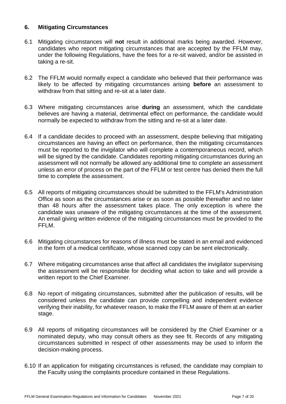## **6. Mitigating Circumstances**

- 6.1 Mitigating circumstances will **not** result in additional marks being awarded. However, candidates who report mitigating circumstances that are accepted by the FFLM may, under the following Regulations, have the fees for a re-sit waived, and/or be assisted in taking a re-sit.
- 6.2 The FFLM would normally expect a candidate who believed that their performance was likely to be affected by mitigating circumstances arising **before** an assessment to withdraw from that sitting and re-sit at a later date.
- 6.3 Where mitigating circumstances arise **during** an assessment, which the candidate believes are having a material, detrimental effect on performance, the candidate would normally be expected to withdraw from the sitting and re-sit at a later date.
- 6.4 If a candidate decides to proceed with an assessment, despite believing that mitigating circumstances are having an effect on performance, then the mitigating circumstances must be reported to the invigilator who will complete a contemporaneous record, which will be signed by the candidate. Candidates reporting mitigating circumstances during an assessment will not normally be allowed any additional time to complete an assessment unless an error of process on the part of the FFLM or test centre has denied them the full time to complete the assessment.
- 6.5 All reports of mitigating circumstances should be submitted to the FFLM's Administration Office as soon as the circumstances arise or as soon as possible thereafter and no later than 48 hours after the assessment takes place. The only exception is where the candidate was unaware of the mitigating circumstances at the time of the assessment. An email giving written evidence of the mitigating circumstances must be provided to the FFLM.
- 6.6 Mitigating circumstances for reasons of illness must be stated in an email and evidenced in the form of a medical certificate, whose scanned copy can be sent electronically.
- 6.7 Where mitigating circumstances arise that affect all candidates the invigilator supervising the assessment will be responsible for deciding what action to take and will provide a written report to the Chief Examiner.
- 6.8 No report of mitigating circumstances, submitted after the publication of results, will be considered unless the candidate can provide compelling and independent evidence verifying their inability, for whatever reason, to make the FFLM aware of them at an earlier stage.
- 6.9 All reports of mitigating circumstances will be considered by the Chief Examiner or a nominated deputy, who may consult others as they see fit. Records of any mitigating circumstances submitted in respect of other assessments may be used to inform the decision-making process.
- 6.10 If an application for mitigating circumstances is refused, the candidate may complain to the Faculty using the complaints procedure contained in these Regulations.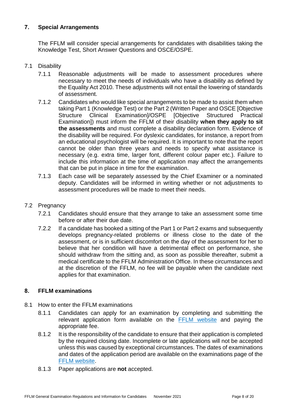# **7. Special Arrangements**

The FFLM will consider special arrangements for candidates with disabilities taking the Knowledge Test, Short Answer Questions and OSCE/OSPE.

### 7.1 Disability

- 7.1.1 Reasonable adjustments will be made to assessment procedures where necessary to meet the needs of individuals who have a disability as defined by the Equality Act 2010. These adjustments will not entail the lowering of standards of assessment.
- 7.1.2 Candidates who would like special arrangements to be made to assist them when taking Part 1 (Knowledge Test) or the Part 2 (Written Paper and OSCE [Objective Structure Clinical Examination]/OSPE [Objective Structured Practical Examination]) must inform the FFLM of their disability **when they apply to sit the assessments** and must complete a disability declaration form. Evidence of the disability will be required. For dyslexic candidates, for instance, a report from an educational psychologist will be required. It is important to note that the report cannot be older than three years and needs to specify what assistance is necessary (e.g. extra time, larger font, different colour paper etc.). Failure to include this information at the time of application may affect the arrangements that can be put in place in time for the examination.
- 7.1.3 Each case will be separately assessed by the Chief Examiner or a nominated deputy. Candidates will be informed in writing whether or not adjustments to assessment procedures will be made to meet their needs.
- 7.2 Pregnancy
	- 7.2.1 Candidates should ensure that they arrange to take an assessment some time before or after their due date.
	- 7.2.2 If a candidate has booked a sitting of the Part 1 or Part 2 exams and subsequently develops pregnancy-related problems or illness close to the date of the assessment, or is in sufficient discomfort on the day of the assessment for her to believe that her condition will have a detrimental effect on performance, she should withdraw from the sitting and, as soon as possible thereafter, submit a medical certificate to the FFLM Administration Office. In these circumstances and at the discretion of the FFLM, no fee will be payable when the candidate next applies for that examination.

### **8. FFLM examinations**

- 8.1 How to enter the FFLM examinations
	- 8.1.1 Candidates can apply for an examination by completing and submitting the relevant application form available on the [FFLM website](http://www.fflm.ac.uk/exams) and paying the appropriate fee.
	- 8.1.2 It is the responsibility of the candidate to ensure that their application is completed by the required closing date. Incomplete or late applications will not be accepted unless this was caused by exceptional circumstances. The dates of examinations and dates of the application period are available on the examinations page of the [FFLM website.](http://www.fflm.ac.uk/exams)
	- 8.1.3 Paper applications are **not** accepted.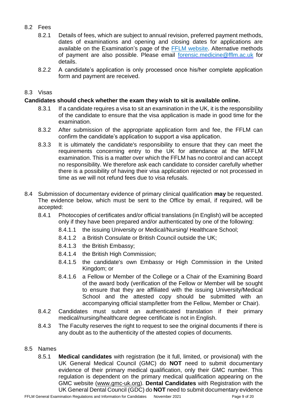# 8.2 Fees

- 8.2.1 Details of fees, which are subject to annual revision, preferred payment methods, dates of examinations and opening and closing dates for applications are available on the Examination's page of the [FFLM website.](http://www.fflm.ac.uk/exams) Alternative methods of payment are also possible. Please email [forensic.medicine@fflm.ac.uk](mailto:forensic.medicine@fflm.ac.uk) for details.
- 8.2.2 A candidate's application is only processed once his/her complete application form and payment are received.

## 8.3 Visas

## **Candidates should check whether the exam they wish to sit is available online.**

- 8.3.1 If a candidate requires a visa to sit an examination in the UK, it is the responsibility of the candidate to ensure that the visa application is made in good time for the examination.
- 8.3.2 After submission of the appropriate application form and fee, the FFLM can confirm the candidate's application to support a visa application.
- 8.3.3 It is ultimately the candidate's responsibility to ensure that they can meet the requirements concerning entry to the UK for attendance at the MFFLM examination. This is a matter over which the FFLM has no control and can accept no responsibility. We therefore ask each candidate to consider carefully whether there is a possibility of having their visa application rejected or not processed in time as we will not refund fees due to visa refusals.
- 8.4 Submission of documentary evidence of primary clinical qualification **may** be requested. The evidence below, which must be sent to the Office by email, if required, will be accepted:
	- 8.4.1 Photocopies of certificates and/or official translations (in English) will be accepted only if they have been prepared and/or authenticated by one of the following:
		- 8.4.1.1 the issuing University or Medical/Nursing/ Healthcare School;
		- 8.4.1.2 a British Consulate or British Council outside the UK;
		- 8.4.1.3 the British Embassy;
		- 8.4.1.4 the British High Commission;
		- 8.4.1.5 the candidate's own Embassy or High Commission in the United Kingdom; or
		- 8.4.1.6 a Fellow or Member of the College or a Chair of the Examining Board of the award body (verification of the Fellow or Member will be sought to ensure that they are affiliated with the issuing University/Medical School and the attested copy should be submitted with an accompanying official stamp/letter from the Fellow, Member or Chair).
	- 8.4.2 Candidates must submit an authenticated translation if their primary medical/nursing/healthcare degree certificate is not in English.
	- 8.4.3 The Faculty reserves the right to request to see the original documents if there is any doubt as to the authenticity of the attested copies of documents.

### 8.5 Names

8.5.1 **Medical candidates** with registration (be it full, limited, or provisional) with the UK General Medical Council (GMC) do **NOT** need to submit documentary evidence of their primary medical qualification, only their GMC number. This regulation is dependent on the primary medical qualification appearing on the GMC website [\(www.gmc-uk.org\)](http://www.gmc-uk.org/). **Dental Candidates** with Registration with the UK General Dental Council (GDC) do **NOT** need to submit documentary evidence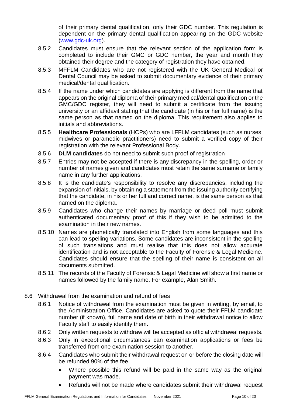of their primary dental qualification, only their GDC number. This regulation is dependent on the primary dental qualification appearing on the GDC website [\(www.gdc-uk.org\)](http://www.gdc-uk.org/).

- 8.5.2 Candidates must ensure that the relevant section of the application form is completed to include their GMC or GDC number, the year and month they obtained their degree and the category of registration they have obtained.
- 8.5.3 MFFLM Candidates who are not registered with the UK General Medical or Dental Council may be asked to submit documentary evidence of their primary medical/dental qualification.
- 8.5.4 If the name under which candidates are applying is different from the name that appears on the original diploma of their primary medical/dental qualification or the GMC/GDC register, they will need to submit a certificate from the issuing university or an affidavit stating that the candidate (in his or her full name) is the same person as that named on the diploma. This requirement also applies to initials and abbreviations.
- 8.5.5 **Healthcare Professionals** (HCPs) who are LFFLM candidates (such as nurses, midwives or paramedic practitioners) need to submit a verified copy of their registration with the relevant Professional Body.
- 8.5.6 **DLM candidates** do not need to submit such proof of registration
- 8.5.7 Entries may not be accepted if there is any discrepancy in the spelling, order or number of names given and candidates must retain the same surname or family name in any further applications.
- 8.5.8 It is the candidate's responsibility to resolve any discrepancies, including the expansion of initials, by obtaining a statement from the issuing authority certifying that the candidate, in his or her full and correct name, is the same person as that named on the diploma.
- 8.5.9 Candidates who change their names by marriage or deed poll must submit authenticated documentary proof of this if they wish to be admitted to the examination in their new names.
- 8.5.10 Names are phonetically translated into English from some languages and this can lead to spelling variations. Some candidates are inconsistent in the spelling of such translations and must realise that this does not allow accurate identification and is not acceptable to the Faculty of Forensic & Legal Medicine. Candidates should ensure that the spelling of their name is consistent on all documents submitted.
- 8.5.11 The records of the Faculty of Forensic & Legal Medicine will show a first name or names followed by the family name. For example, Alan Smith.
- 8.6 Withdrawal from the examination and refund of fees
	- 8.6.1 Notice of withdrawal from the examination must be given in writing, by email, to the Administration Office. Candidates are asked to quote their FFLM candidate number (if known), full name and date of birth in their withdrawal notice to allow Faculty staff to easily identify them.
	- 8.6.2 Only written requests to withdraw will be accepted as official withdrawal requests.
	- 8.6.3 Only in exceptional circumstances can examination applications or fees be transferred from one examination session to another.
	- 8.6.4 Candidates who submit their withdrawal request on or before the closing date will be refunded 90% of the fee.
		- Where possible this refund will be paid in the same way as the original payment was made.
		- Refunds will not be made where candidates submit their withdrawal request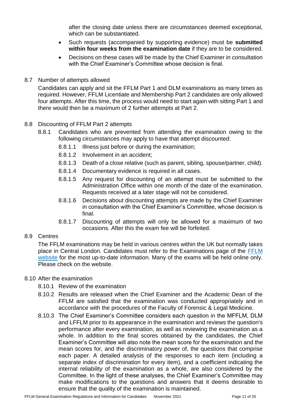after the closing date unless there are circumstances deemed exceptional, which can be substantiated.

- Such requests (accompanied by supporting evidence) must be **submitted within four weeks from the examination date** if they are to be considered.
- Decisions on these cases will be made by the Chief Examiner in consultation with the Chief Examiner's Committee whose decision is final.
- 8.7 Number of attempts allowed

Candidates can apply and sit the FFLM Part 1 and DLM examinations as many times as required. However, FFLM Licentiate and Membership Part 2 candidates are only allowed four attempts. After this time, the process would need to start again with sitting Part 1 and there would then be a maximum of 2 further attempts at Part 2.

## 8.8 Discounting of FFLM Part 2 attempts

- 8.8.1 Candidates who are prevented from attending the examination owing to the following circumstances may apply to have that attempt discounted:
	- 8.8.1.1 Illness just before or during the examination;
	- 8.8.1.2 Involvement in an accident;
	- 8.8.1.3 Death of a close relative (such as parent, sibling, spouse/partner, child).
	- 8.8.1.4 Documentary evidence is required in all cases.
	- 8.8.1.5 Any request for discounting of an attempt must be submitted to the Administration Office within one month of the date of the examination. Requests received at a later stage will not be considered.
	- 8.8.1.6 Decisions about discounting attempts are made by the Chief Examiner in consultation with the Chief Examiner's Committee, whose decision is final.
	- 8.8.1.7 Discounting of attempts will only be allowed for a maximum of two occasions. After this the exam fee will be forfeited.

# 8.9 Centres

The FFLM examinations may be held in various centres within the UK but normally takes place in Central London. Candidates must refer to the Examinations page of the [FFLM](http://www.fflm.ac.uk/exams)  [website](http://www.fflm.ac.uk/exams) for the most up-to-date information. Many of the exams will be held online only. Please check on the website.

### 8.10 After the examination

- 8.10.1 Review of the examination
- 8.10.2 Results are released when the Chief Examiner and the Academic Dean of the FFLM are satisfied that the examination was conducted appropriately and in accordance with the procedures of the Faculty of Forensic & Legal Medicine.
- 8.10.3 The Chief Examiner's Committee considers each question in the MFFLM, DLM and LFFLM prior to its appearance in the examination and reviews the question's performance after every examination, as well as reviewing the examination as a whole. In addition to the final scores obtained by the candidates, the Chief Examiner's Committee will also note the mean score for the examination and the mean scores for, and the discriminatory power of, the questions that comprise each paper. A detailed analysis of the responses to each item (including a separate index of discrimination for every item), and a coefficient indicating the internal reliability of the examination as a whole, are also considered by the Committee. In the light of these analyses, the Chief Examiner's Committee may make modifications to the questions and answers that it deems desirable to ensure that the quality of the examination is maintained.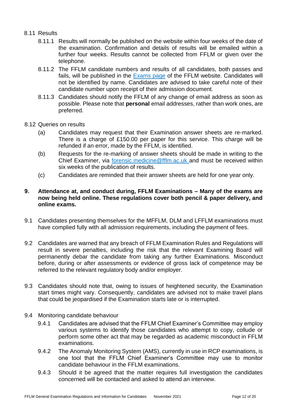### 8.11 Results

- 8.11.1 Results will normally be published on the website within four weeks of the date of the examination. Confirmation and details of results will be emailed within a further four weeks. Results cannot be collected from FFLM or given over the telephone.
- 8.11.2 The FFLM candidate numbers and results of all candidates, both passes and fails, will be published in the [Exams page](http://www.fflm.ac.uk/exams) of the FFLM website. Candidates will not be identified by name. Candidates are advised to take careful note of their candidate number upon receipt of their admission document.
- 8.11.3 Candidates should notify the FFLM of any change of email address as soon as possible. Please note that **personal** email addresses, rather than work ones, are preferred.
- 8.12 Queries on results
	- (a) Candidates may request that their Examination answer sheets are re-marked. There is a charge of £150.00 per paper for this service. This charge will be refunded if an error, made by the FFLM, is identified.
	- (b) Requests for the re-marking of answer sheets should be made in writing to the Chief Examiner, via [forensic.medicine@fflm.ac.uk a](mailto:forensic.medicine@fflm.ac.uk)nd must be received within six weeks of the publication of results.
	- (c) Candidates are reminded that their answer sheets are held for one year only.

### **9. Attendance at, and conduct during, FFLM Examinations – Many of the exams are now being held online. These regulations cover both pencil & paper delivery, and online exams.**

- 9.1 Candidates presenting themselves for the MFFLM, DLM and LFFLM examinations must have complied fully with all admission requirements, including the payment of fees.
- 9.2 Candidates are warned that any breach of FFLM Examination Rules and Regulations will result in severe penalties, including the risk that the relevant Examining Board will permanently debar the candidate from taking any further Examinations. Misconduct before, during or after assessments or evidence of gross lack of competence may be referred to the relevant regulatory body and/or employer.
- 9.3 Candidates should note that, owing to issues of heightened security, the Examination start times might vary. Consequently, candidates are advised not to make travel plans that could be jeopardised if the Examination starts late or is interrupted.
- 9.4 Monitoring candidate behaviour
	- 9.4.1 Candidates are advised that the FFLM Chief Examiner's Committee may employ various systems to identify those candidates who attempt to copy, collude or perform some other act that may be regarded as academic misconduct in FFLM examinations.
	- 9.4.2 The Anomaly Monitoring System (AMS), currently in use in RCP examinations, is one tool that the FFLM Chief Examiner's Committee may use to monitor candidate behaviour in the FFLM examinations.
	- 9.4.3 Should it be agreed that the matter requires full investigation the candidates concerned will be contacted and asked to attend an interview.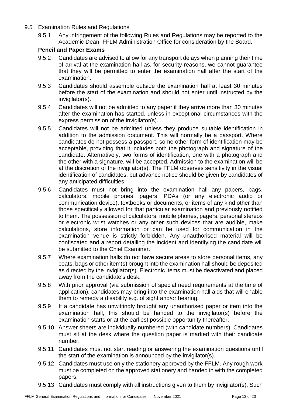- 9.5 Examination Rules and Regulations
	- 9.5.1 Any infringement of the following Rules and Regulations may be reported to the Academic Dean, FFLM Administration Office for consideration by the Board.

## **Pencil and Paper Exams**

- 9.5.2 Candidates are advised to allow for any transport delays when planning their time of arrival at the examination hall as, for security reasons, we cannot guarantee that they will be permitted to enter the examination hall after the start of the examination.
- 9.5.3 Candidates should assemble outside the examination hall at least 30 minutes before the start of the examination and should not enter until instructed by the invigilator(s).
- 9.5.4 Candidates will not be admitted to any paper if they arrive more than 30 minutes after the examination has started, unless in exceptional circumstances with the express permission of the invigilator(s).
- 9.5.5 Candidates will not be admitted unless they produce suitable identification in addition to the admission document. This will normally be a passport. Where candidates do not possess a passport, some other form of identification may be acceptable, providing that it includes both the photograph and signature of the candidate. Alternatively, two forms of identification, one with a photograph and the other with a signature, will be accepted. Admission to the examination will be at the discretion of the invigilator(s). The FFLM observes sensitivity in the visual identification of candidates, but advance notice should be given by candidates of any anticipated difficulties.
- 9.5.6 Candidates must not bring into the examination hall any papers, bags, calculators, mobile phones, pagers, PDAs (or any electronic audio or communication device), textbooks or documents, or items of any kind other than those specifically allowed for that particular examination and previously notified to them. The possession of calculators, mobile phones, pagers, personal stereos or electronic wrist watches or any other such devices that are audible, make calculations, store information or can be used for communication in the examination venue is strictly forbidden. Any unauthorised material will be confiscated and a report detailing the incident and identifying the candidate will be submitted to the Chief Examiner.
- 9.5.7 Where examination halls do not have secure areas to store personal items, any coats, bags or other item(s) brought into the examination hall should be deposited as directed by the invigilator(s). Electronic items must be deactivated and placed away from the candidate's desk.
- 9.5.8 With prior approval (via submission of special need requirements at the time of application), candidates may bring into the examination hall aids that will enable them to remedy a disability e.g. of sight and/or hearing.
- 9.5.9 If a candidate has unwittingly brought any unauthorised paper or item into the examination hall, this should be handed to the invigilator(s) before the examination starts or at the earliest possible opportunity thereafter.
- 9.5.10 Answer sheets are individually numbered (with candidate numbers). Candidates must sit at the desk where the question paper is marked with their candidate number.
- 9.5.11 Candidates must not start reading or answering the examination questions until the start of the examination is announced by the invigilator(s).
- 9.5.12 Candidates must use only the stationery approved by the FFLM. Any rough work must be completed on the approved stationery and handed in with the completed papers.
- 9.5.13 Candidates must comply with all instructions given to them by invigilator(s). Such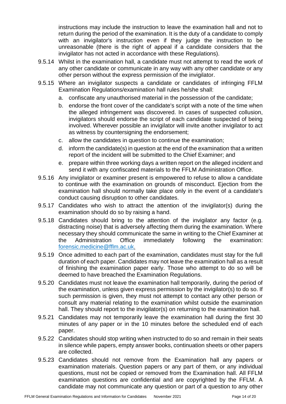instructions may include the instruction to leave the examination hall and not to return during the period of the examination. It is the duty of a candidate to comply with an invigilator's instruction even if they judge the instruction to be unreasonable (there is the right of appeal if a candidate considers that the invigilator has not acted in accordance with these Regulations).

- 9.5.14 Whilst in the examination hall, a candidate must not attempt to read the work of any other candidate or communicate in any way with any other candidate or any other person without the express permission of the invigilator.
- 9.5.15 Where an invigilator suspects a candidate or candidates of infringing FFLM Examination Regulations/examination hall rules he/she shall:
	- a. confiscate any unauthorised material in the possession of the candidate;
	- b. endorse the front cover of the candidate's script with a note of the time when the alleged infringement was discovered. In cases of suspected collusion, invigilators should endorse the script of each candidate suspected of being involved. Wherever possible an invigilator will invite another invigilator to act as witness by countersigning the endorsement;
	- c. allow the candidates in question to continue the examination;
	- d. inform the candidate(s) in question at the end of the examination that a written report of the incident will be submitted to the Chief Examiner; and
	- e. prepare within three working days a written report on the alleged incident and send it with any confiscated materials to the FFLM Administration Office.
- 9.5.16 Any invigilator or examiner present is empowered to refuse to allow a candidate to continue with the examination on grounds of misconduct. Ejection from the examination hall should normally take place only in the event of a candidate's conduct causing disruption to other candidates.
- 9.5.17 Candidates who wish to attract the attention of the invigilator(s) during the examination should do so by raising a hand.
- 9.5.18 Candidates should bring to the attention of the invigilator any factor (e.g. distracting noise) that is adversely affecting them during the examination. Where necessary they should communicate the same in writing to the Chief Examiner at the Administration Office immediately following the examination: [forensic.medicine@fflm.ac.uk](mailto:forensic.medicine@fflm.ac.uk).
- 9.5.19 Once admitted to each part of the examination, candidates must stay for the full duration of each paper. Candidates may not leave the examination hall as a result of finishing the examination paper early. Those who attempt to do so will be deemed to have breached the Examination Regulations.
- 9.5.20 Candidates must not leave the examination hall temporarily, during the period of the examination, unless given express permission by the invigilator(s) to do so. If such permission is given, they must not attempt to contact any other person or consult any material relating to the examination whilst outside the examination hall. They should report to the invigilator(s) on returning to the examination hall.
- 9.5.21 Candidates may not temporarily leave the examination hall during the first 30 minutes of any paper or in the 10 minutes before the scheduled end of each paper.
- 9.5.22 Candidates should stop writing when instructed to do so and remain in their seats in silence while papers, empty answer books, continuation sheets or other papers are collected.
- 9.5.23 Candidates should not remove from the Examination hall any papers or examination materials. Question papers or any part of them, or any individual questions, must not be copied or removed from the Examination hall. All FFLM examination questions are confidential and are copyrighted by the FFLM. A candidate may not communicate any question or part of a question to any other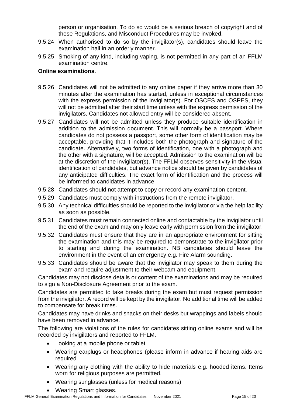person or organisation. To do so would be a serious breach of copyright and of these Regulations, and Misconduct Procedures may be invoked.

- 9.5.24 When authorised to do so by the invigilator(s), candidates should leave the examination hall in an orderly manner.
- 9.5.25 Smoking of any kind, including vaping, is not permitted in any part of an FFLM examination centre.

### **Online examinations**.

- 9.5.26 Candidates will not be admitted to any online paper if they arrive more than 30 minutes after the examination has started, unless in exceptional circumstances with the express permission of the invigilator(s). For OSCES and OSPES, they will not be admitted after their start time unless with the express permission of the invigilators. Candidates not allowed entry will be considered absent.
- 9.5.27 Candidates will not be admitted unless they produce suitable identification in addition to the admission document. This will normally be a passport. Where candidates do not possess a passport, some other form of identification may be acceptable, providing that it includes both the photograph and signature of the candidate. Alternatively, two forms of identification, one with a photograph and the other with a signature, will be accepted. Admission to the examination will be at the discretion of the invigilator(s). The FFLM observes sensitivity in the visual identification of candidates, but advance notice should be given by candidates of any anticipated difficulties. The exact form of identification and the process will be informed to candidates in advance
- 9.5.28 Candidates should not attempt to copy or record any examination content.
- 9.5.29 Candidates must comply with instructions from the remote invigilator.
- 9.5.30 Any technical difficulties should be reported to the invigilator or via the help facility as soon as possible.
- 9.5.31 Candidates must remain connected online and contactable by the invigilator until the end of the exam and may only leave early with permission from the invigilator.
- 9.5.32 Candidates must ensure that they are in an appropriate environment for sitting the examination and this may be required to demonstrate to the invigilator prior to starting and during the examination. NB candidates should leave the environment in the event of an emergency e.g. Fire Alarm sounding.
- 9.5.33 Candidates should be aware that the invigilator may speak to them during the exam and require adjustment to their webcam and equipment.

Candidates may not disclose details or content of the examinations and may be required to sign a Non-Disclosure Agreement prior to the exam.

Candidates are permitted to take breaks during the exam but must request permission from the invigilator. A record will be kept by the invigilator. No additional time will be added to compensate for break times.

Candidates may have drinks and snacks on their desks but wrappings and labels should have been removed in advance.

The following are violations of the rules for candidates sitting online exams and will be recorded by invigilators and reported to FFLM.

- Looking at a mobile phone or tablet
- Wearing earplugs or headphones (please inform in advance if hearing aids are required
- Wearing any clothing with the ability to hide materials e.g. hooded items. Items worn for religious purposes are permitted.
- Wearing sunglasses (unless for medical reasons)
- Wearing Smart glasses.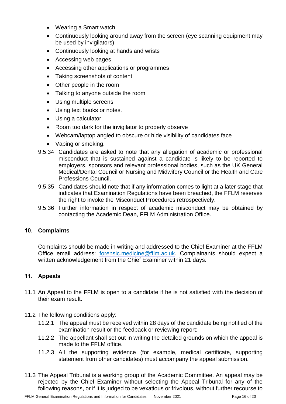- Wearing a Smart watch
- Continuously looking around away from the screen (eve scanning equipment may be used by invigilators)
- Continuously looking at hands and wrists
- Accessing web pages
- Accessing other applications or programmes
- Taking screenshots of content
- Other people in the room
- Talking to anyone outside the room
- Using multiple screens
- Using text books or notes.
- Using a calculator
- Room too dark for the invigilator to properly observe
- Webcam/laptop angled to obscure or hide visibility of candidates face
- Vaping or smoking.
- 9.5.34 Candidates are asked to note that any allegation of academic or professional misconduct that is sustained against a candidate is likely to be reported to employers, sponsors and relevant professional bodies, such as the UK General Medical/Dental Council or Nursing and Midwifery Council or the Health and Care Professions Council.
- 9.5.35 Candidates should note that if any information comes to light at a later stage that indicates that Examination Regulations have been breached, the FFLM reserves the right to invoke the Misconduct Procedures retrospectively.
- 9.5.36 Further information in respect of academic misconduct may be obtained by contacting the Academic Dean, FFLM Administration Office.

# **10. Complaints**

Complaints should be made in writing and addressed to the Chief Examiner at the FFLM Office email address: [forensic.medicine@fflm.ac.uk.](mailto:forensic.medicine@fflm.ac.uk) Complainants should expect a written acknowledgement from the Chief Examiner within 21 days.

### **11. Appeals**

- 11.1 An Appeal to the FFLM is open to a candidate if he is not satisfied with the decision of their exam result.
- 11.2 The following conditions apply:
	- 11.2.1 The appeal must be received within 28 days of the candidate being notified of the examination result or the feedback or reviewing report;
	- 11.2.2 The appellant shall set out in writing the detailed grounds on which the appeal is made to the FFLM office.
	- 11.2.3 All the supporting evidence (for example, medical certificate, supporting statement from other candidates) must accompany the appeal submission.
- 11.3 The Appeal Tribunal is a working group of the Academic Committee. An appeal may be rejected by the Chief Examiner without selecting the Appeal Tribunal for any of the following reasons, or if it is judged to be vexatious or frivolous, without further recourse to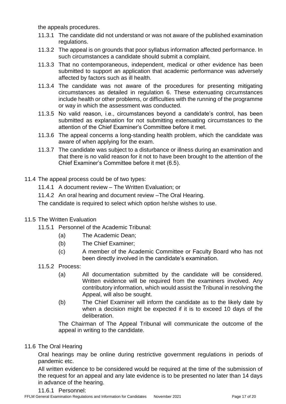the appeals procedures.

- 11.3.1 The candidate did not understand or was not aware of the published examination regulations.
- 11.3.2 The appeal is on grounds that poor syllabus information affected performance. In such circumstances a candidate should submit a complaint.
- 11.3.3 That no contemporaneous, independent, medical or other evidence has been submitted to support an application that academic performance was adversely affected by factors such as ill health.
- 11.3.4 The candidate was not aware of the procedures for presenting mitigating circumstances as detailed in regulation 6. These extenuating circumstances include health or other problems, or difficulties with the running of the programme or way in which the assessment was conducted.
- 11.3.5 No valid reason, i.e., circumstances beyond a candidate's control, has been submitted as explanation for not submitting extenuating circumstances to the attention of the Chief Examiner's Committee before it met.
- 11.3.6 The appeal concerns a long-standing health problem, which the candidate was aware of when applying for the exam.
- 11.3.7 The candidate was subject to a disturbance or illness during an examination and that there is no valid reason for it not to have been brought to the attention of the Chief Examiner's Committee before it met (6.5).
- 11.4 The appeal process could be of two types:
	- 11.4.1 A document review The Written Evaluation; or
	- 11.4.2 An oral hearing and document review –The Oral Hearing.

The candidate is required to select which option he/she wishes to use.

- 11.5 The Written Evaluation
	- 11.5.1 Personnel of the Academic Tribunal:
		- (a) The Academic Dean;
		- (b) The Chief Examiner;
		- (c) A member of the Academic Committee or Faculty Board who has not been directly involved in the candidate's examination.
	- 11.5.2 Process:
		- (a) All documentation submitted by the candidate will be considered. Written evidence will be required from the examiners involved. Any contributory information, which would assist the Tribunal in resolving the Appeal, will also be sought.
		- (b) The Chief Examiner will inform the candidate as to the likely date by when a decision might be expected if it is to exceed 10 days of the deliberation.

The Chairman of The Appeal Tribunal will communicate the outcome of the appeal in writing to the candidate.

11.6 The Oral Hearing

Oral hearings may be online during restrictive government regulations in periods of pandemic etc.

All written evidence to be considered would be required at the time of the submission of the request for an appeal and any late evidence is to be presented no later than 14 days in advance of the hearing.

11.6.1 Personnel: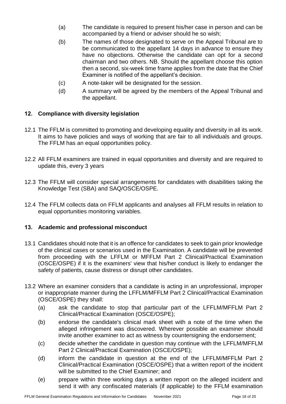- (a) The candidate is required to present his/her case in person and can be accompanied by a friend or adviser should he so wish;
- (b) The names of those designated to serve on the Appeal Tribunal are to be communicated to the appellant 14 days in advance to ensure they have no objections. Otherwise the candidate can opt for a second chairman and two others. NB. Should the appellant choose this option then a second, six-week time frame applies from the date that the Chief Examiner is notified of the appellant's decision.
- (c) A note-taker will be designated for the session.
- (d) A summary will be agreed by the members of the Appeal Tribunal and the appellant.

## **12. Compliance with diversity legislation**

- 12.1 The FFLM is committed to promoting and developing equality and diversity in all its work. It aims to have policies and ways of working that are fair to all individuals and groups. The FFLM has an [equal opportunities policy.](http://www.rcgp.org.uk/the_gp_journey/nmrcgp/regulations_and_syllabus.aspx)
- 12.2 All FFLM examiners are trained in equal opportunities and diversity and are required to update this, every 3 years
- 12.3 The FFLM will consider special arrangements for candidates with disabilities taking the Knowledge Test (SBA) and SAQ/OSCE/OSPE.
- 12.4 The FFLM collects data on FFLM applicants and analyses all FFLM results in relation to equal opportunities monitoring variables.

### **13. Academic and professional misconduct**

- 13.1 Candidates should note that it is an offence for candidates to seek to gain prior knowledge of the clinical cases or scenarios used in the Examination. A candidate will be prevented from proceeding with the LFFLM or MFFLM Part 2 Clinical/Practical Examination (OSCE/OSPE) if it is the examiners' view that his/her conduct is likely to endanger the safety of patients, cause distress or disrupt other candidates.
- 13.2 Where an examiner considers that a candidate is acting in an unprofessional, improper or inappropriate manner during the LFFLM/MFFLM Part 2 Clinical/Practical Examination (OSCE/OSPE) they shall:
	- (a) ask the candidate to stop that particular part of the LFFLM/MFFLM Part 2 Clinical/Practical Examination (OSCE/OSPE);
	- (b) endorse the candidate's clinical mark sheet with a note of the time when the alleged infringement was discovered. Wherever possible an examiner should invite another examiner to act as witness by countersigning the endorsement;
	- (c) decide whether the candidate in question may continue with the LFFLM/MFFLM Part 2 Clinical/Practical Examination (OSCE/OSPE);
	- (d) inform the candidate in question at the end of the LFFLM/MFFLM Part 2 Clinical/Practical Examination (OSCE/OSPE) that a written report of the incident will be submitted to the Chief Examiner; and
	- (e) prepare within three working days a written report on the alleged incident and send it with any confiscated materials (if applicable) to the FFLM examination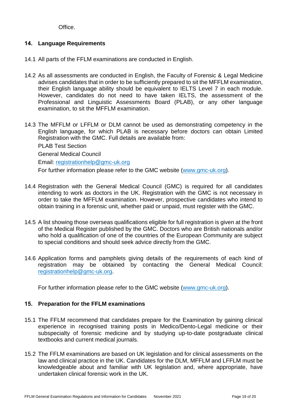Office.

# **14. Language Requirements**

- 14.1 All parts of the FFLM examinations are conducted in English.
- 14.2 As all assessments are conducted in English, the Faculty of Forensic & Legal Medicine advises candidates that in order to be sufficiently prepared to sit the MFFLM examination, their English language ability should be equivalent to IELTS Level 7 in each module. However, candidates do not need to have taken IELTS, the assessment of the Professional and Linguistic Assessments Board (PLAB), or any other language examination, to sit the MFFLM examination.
- 14.3 The MFFLM or LFFLM or DLM cannot be used as demonstrating competency in the English language, for which PLAB is necessary before doctors can obtain Limited Registration with the GMC. Full details are available from:

PLAB Test Section General Medical Council Email: [registrationhelp@gmc-uk.org](mailto:registrationhelp@gmc-uk.org) For further information please refer to the GMC website [\(www.gmc-uk.org\)](http://www.gmc-uk.org/).

- 14.4 Registration with the General Medical Council (GMC) is required for all candidates intending to work as doctors in the UK. Registration with the GMC is not necessary in order to take the MFFLM examination. However, prospective candidates who intend to obtain training in a forensic unit, whether paid or unpaid, must register with the GMC.
- 14.5 A list showing those overseas qualifications eligible for full registration is given at the front of the Medical Register published by the GMC. Doctors who are British nationals and/or who hold a qualification of one of the countries of the European Community are subject to special conditions and should seek advice directly from the GMC.
- 14.6 Application forms and pamphlets giving details of the requirements of each kind of registration may be obtained by contacting the General Medical Council: [registrationhelp@gmc-uk.org.](mailto:registrationhelp@gmc-uk.org)

For further information please refer to the GMC website [\(www.gmc-uk.org\)](http://www.gmc-uk.org/).

# **15. Preparation for the FFLM examinations**

- 15.1 The FFLM recommend that candidates prepare for the Examination by gaining clinical experience in recognised training posts in Medico/Dento-Legal medicine or their subspecialty of forensic medicine and by studying up-to-date postgraduate clinical textbooks and current medical journals.
- 15.2 The FFLM examinations are based on UK legislation and for clinical assessments on the law and clinical practice in the UK. Candidates for the DLM, MFFLM and LFFLM must be knowledgeable about and familiar with UK legislation and, where appropriate, have undertaken clinical forensic work in the UK.